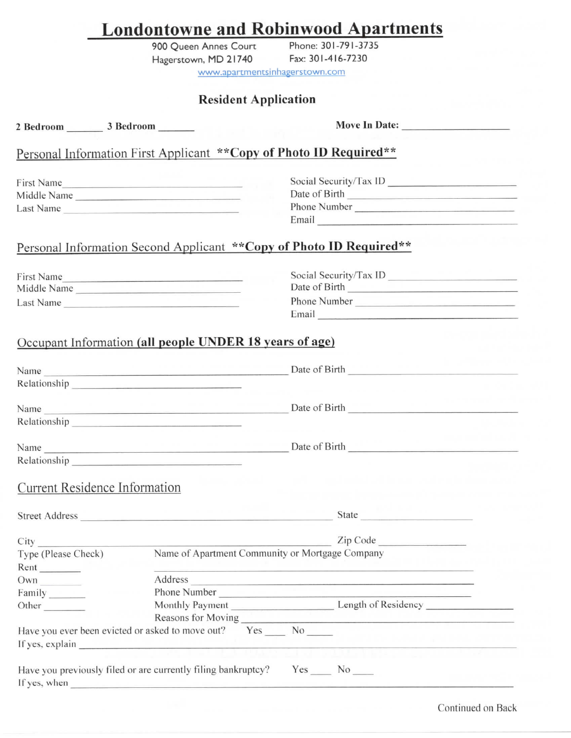|                                                                                                                                                                                                                                | <b>Londontowne and Robinwood Apartments</b> |                                                                                                                                                                                                                                                                                                                                                                                                                                                                 |  |
|--------------------------------------------------------------------------------------------------------------------------------------------------------------------------------------------------------------------------------|---------------------------------------------|-----------------------------------------------------------------------------------------------------------------------------------------------------------------------------------------------------------------------------------------------------------------------------------------------------------------------------------------------------------------------------------------------------------------------------------------------------------------|--|
|                                                                                                                                                                                                                                | 900 Queen Annes Court                       | Phone: 301-791-3735                                                                                                                                                                                                                                                                                                                                                                                                                                             |  |
|                                                                                                                                                                                                                                | Hagerstown, MD 21740 Fax: 301-416-7230      |                                                                                                                                                                                                                                                                                                                                                                                                                                                                 |  |
|                                                                                                                                                                                                                                | www.apartmentsinhagerstown.com              |                                                                                                                                                                                                                                                                                                                                                                                                                                                                 |  |
|                                                                                                                                                                                                                                | <b>Resident Application</b>                 |                                                                                                                                                                                                                                                                                                                                                                                                                                                                 |  |
| 2 Bedroom 3 Bedroom ______                                                                                                                                                                                                     |                                             | Move In Date:                                                                                                                                                                                                                                                                                                                                                                                                                                                   |  |
|                                                                                                                                                                                                                                |                                             | Personal Information First Applicant ** Copy of Photo ID Required**                                                                                                                                                                                                                                                                                                                                                                                             |  |
| First Name                                                                                                                                                                                                                     |                                             | Social Security/Tax ID                                                                                                                                                                                                                                                                                                                                                                                                                                          |  |
| Middle Name                                                                                                                                                                                                                    |                                             | Date of Birth <b>Exercise Services</b>                                                                                                                                                                                                                                                                                                                                                                                                                          |  |
| Last Name                                                                                                                                                                                                                      |                                             |                                                                                                                                                                                                                                                                                                                                                                                                                                                                 |  |
|                                                                                                                                                                                                                                |                                             | Email <b>Executive Contract Contract Contract Contract Contract Contract Contract Contract Contract Contract Contract Contract Contract Contract Contract Contract Contract Contract Contract Contract Contract Contract Contrac</b>                                                                                                                                                                                                                            |  |
|                                                                                                                                                                                                                                |                                             | Personal Information Second Applicant ** Copy of Photo ID Required**                                                                                                                                                                                                                                                                                                                                                                                            |  |
|                                                                                                                                                                                                                                |                                             | Social Security/Tax ID                                                                                                                                                                                                                                                                                                                                                                                                                                          |  |
| First Name<br>Middle Name                                                                                                                                                                                                      |                                             | Date of Birth <b>Exercísion</b>                                                                                                                                                                                                                                                                                                                                                                                                                                 |  |
| Last Name                                                                                                                                                                                                                      |                                             | Phone Number                                                                                                                                                                                                                                                                                                                                                                                                                                                    |  |
|                                                                                                                                                                                                                                |                                             | Email experience and the state of the state of the state of the state of the state of the state of the state of the state of the state of the state of the state of the state of the state of the state of the state of the st                                                                                                                                                                                                                                  |  |
| Occupant Information (all people UNDER 18 years of age)<br>Name                                                                                                                                                                |                                             | Date of Birth                                                                                                                                                                                                                                                                                                                                                                                                                                                   |  |
| Relationship                                                                                                                                                                                                                   |                                             | Name Date of Birth                                                                                                                                                                                                                                                                                                                                                                                                                                              |  |
| Relationship entry and the set of the set of the set of the set of the set of the set of the set of the set of                                                                                                                 |                                             |                                                                                                                                                                                                                                                                                                                                                                                                                                                                 |  |
|                                                                                                                                                                                                                                |                                             |                                                                                                                                                                                                                                                                                                                                                                                                                                                                 |  |
| Relationship experience and the set of the set of the set of the set of the set of the set of the set of the set of the set of the set of the set of the set of the set of the set of the set of the set of the set of the set |                                             |                                                                                                                                                                                                                                                                                                                                                                                                                                                                 |  |
| <b>Current Residence Information</b>                                                                                                                                                                                           |                                             |                                                                                                                                                                                                                                                                                                                                                                                                                                                                 |  |
|                                                                                                                                                                                                                                |                                             |                                                                                                                                                                                                                                                                                                                                                                                                                                                                 |  |
|                                                                                                                                                                                                                                |                                             |                                                                                                                                                                                                                                                                                                                                                                                                                                                                 |  |
|                                                                                                                                                                                                                                |                                             | City<br>Type (Please Check) Name of Apartment Community or Mortgage Company                                                                                                                                                                                                                                                                                                                                                                                     |  |
|                                                                                                                                                                                                                                |                                             |                                                                                                                                                                                                                                                                                                                                                                                                                                                                 |  |
|                                                                                                                                                                                                                                |                                             |                                                                                                                                                                                                                                                                                                                                                                                                                                                                 |  |
|                                                                                                                                                                                                                                |                                             | Address and the contract of the contract of the contract of the contract of the contract of the contract of the contract of the contract of the contract of the contract of the contract of the contract of the contract of th<br>Phone Number Lawrence and the contract of the contract of the contract of the contract of the contract of the contract of the contract of the contract of the contract of the contract of the contract of the contract of the |  |
|                                                                                                                                                                                                                                |                                             | Monthly Payment Length of Residency                                                                                                                                                                                                                                                                                                                                                                                                                             |  |
|                                                                                                                                                                                                                                |                                             |                                                                                                                                                                                                                                                                                                                                                                                                                                                                 |  |
| Type (Please Check)<br>Own<br>Other<br>Have you ever been evicted or asked to move out? Yes ______ No ______                                                                                                                   |                                             |                                                                                                                                                                                                                                                                                                                                                                                                                                                                 |  |